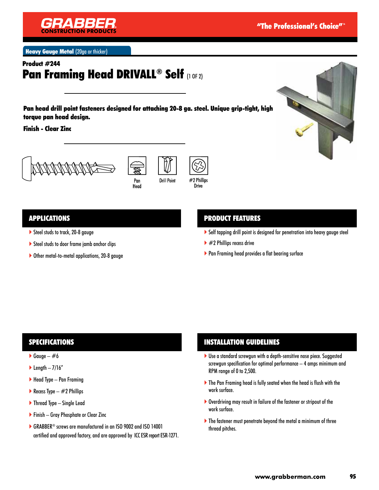

**Heavy Gauge Metal (20ga or thicker)** 

# Product #244 Pan Framing Head DRIVALL<sup>®</sup> Self (1 OF 2)

Pan head drill point fasteners designed for attaching 20-8 ga. steel. Unique grip-tight, high torque pan head design.

Finish - Clear Zinc







## APPLICATIONS

- ▶ Steel studs to track, 20-8 gauge
- Steel studs to door frame jamb anchor clips
- ▶ Other metal-to-metal applications, 20-8 gauge

#### PRODUCT FEATURES

- Self tapping drill point is designed for penetration into heavy gauge steel
- $\blacktriangleright$  #2 Phillips recess drive
- ▶ Pan Framing head provides a flat bearing surface

## SPECIFICATIONS

- Gauge  $#6$
- $\blacktriangleright$  Length  $-7/16''$
- ▶ Head Type Pan Framing
- Recess Type  $-$  #2 Phillips
- ▶ Thread Type Single Lead
- ▶ Finish Gray Phosphate or Clear Zinc
- GRABBER® screws are manufactured in an ISO 9002 and ISO 14001 certified and approved factory, and are approved by ICC ESR report ESR-1271.

## INSTALLATION GUIDELINES

- ▶ Use a standard screwgun with a depth-sensitive nose piece. Suggested screwgun specification for optimal performance – 4 amps minimum and RPM range of 0 to 2,500.
- The Pan Framing head is fully seated when the head is flush with the work surface.
- Overdriving may result in failure of the fastener or stripout of the work surface.
- ▶ The fastener must penetrate beyond the metal a minimum of three thread pitches.